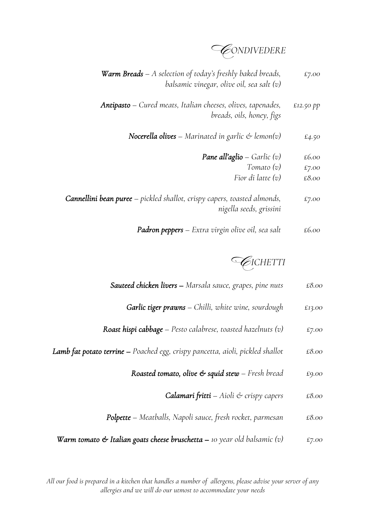## C*ONDIVEDERE*

| £7.00          | <b>Warm Breads</b> – A selection of today's freshly baked breads,<br>balsamic vinegar, olive oil, sea salt (v) |
|----------------|----------------------------------------------------------------------------------------------------------------|
| £12.50 pp      | <b>Antipasto</b> – Cured meats, Italian cheeses, olives, tapenades,<br>breads, oils, honey, figs               |
| £4.50          | <b>Nocerella olives</b> – Marinated in garlic $\&$ lemon(v)                                                    |
| £6.00          | <b>Pane all'aglio</b> – Garlic $(v)$                                                                           |
| £7.00<br>£8.00 | Tomato $(v)$<br>Fior di latte $(v)$                                                                            |
| £7.00          | <b>Cannellini bean puree –</b> pickled shallot, crispy capers, toasted almonds,<br>nigella seeds, grissini     |
| £6.00          | <b>Padron peppers</b> – Extra virgin olive oil, sea salt                                                       |

`C*ICHETTI*

- *Sauteed chicken livers Marsala sauce, grapes, pine nuts £8.00*
	- *Garlic tiger prawns – Chilli, white wine, sourdough £13.00*
- *Roast hispi cabbage – Pesto calabrese, toasted hazelnuts (v) £7.00*
- *Lamb fat potato terrine Poached egg, crispy pancetta, aioli, pickled shallot £8.00*
	- *Roasted tomato, olive & squid stew – Fresh bread £9.00*
		- *Calamari fritti – Aioli & crispy capers £8.00*
	- *Polpette – Meatballs, Napoli sauce, fresh rocket, parmesan £8.00*
	- *Warm tomato & Italian goats cheese bruschetta 10 year old balsamic (v) £7.00*

*All our food is prepared in a kitchen that handles a number of allergens, please advise your server of any allergies and we will do our utmost to accommodate your needs*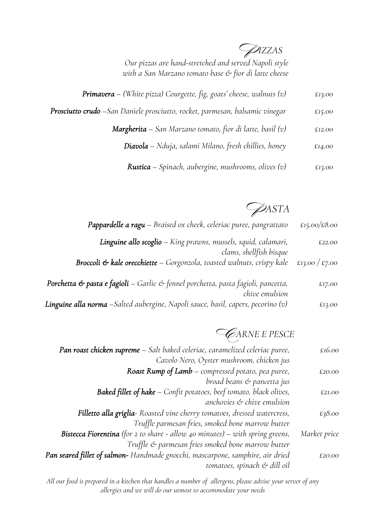## P*IZZAS Our pizzas are hand-stretched and served Napoli style with a San Marzano tomato base & fior di latte cheese*

- *Primavera (White pizza) Courgette, fig, goats' cheese, walnuts (v)*  $E13.00$
- *Prosciutto crudo –San Daniele prosciutto, rocket, parmesan, balsamic vinegar £15.00*
	- *Margherita – San Marzano tomato, fior di latte, basil (v) £12.00*
		- *Diavola – Nduja, salami Milano, fresh chillies, honey £14.00*
		- *Rustica – Spinach, aubergine, mushrooms, olives (v) £13.00*



| Pappardelle a ragu - Braised ox cheek, celeriac puree, pangrattato                                  | £15.00/£8.00     |
|-----------------------------------------------------------------------------------------------------|------------------|
| Linguine allo scoglio – King prawns, mussels, squid, calamari,<br>clams, shellfish bisque           | £22.00           |
| Broccoli & kale orecchiette - Gorgonzola, toasted walnuts, crispy kale                              | £13.00 $/$ £7.00 |
| Porchetta & pasta e fagioli – Garlic & fennel porchetta, pasta fagioli, pancetta,<br>chive emulsion | £17.00           |
| Linguine alla norma –Salted aubergine, Napoli sauce, basil, capers, pecorino (v)                    | £13.00           |

## C*ARNE E PESCE*

| £16.00       | Pan roast chicken supreme - Salt baked celeriac, caramelized celeriac puree,           |
|--------------|----------------------------------------------------------------------------------------|
|              | Cavolo Nero, Oyster mushroom, chicken jus                                              |
| £20.00       | Roast Rump of Lamb - compressed potato, pea puree,                                     |
|              | broad beans & pancetta jus                                                             |
| £21.00       | Baked fillet of hake - Confit potatoes, beef tomato, black olives,                     |
|              | anchovies & chive emulsion                                                             |
| £38.00       | Filletto alla griglia- Roasted vine cherry tomatoes, dressed watercress,               |
|              | Truffle parmesan fries, smoked bone marrow butter                                      |
| Market price | <b>Bistecca Fiorentina</b> (for $2$ to share - allow 40 minutes) – with spring greens, |
|              | Truffle & parmesan fries smoked bone marrow butter                                     |
| £20.00       | Pan seared fillet of salmon- Handmade gnocchi, mascarpone, samphire, air dried         |
|              | tomatoes, spinach & dill oil                                                           |

*All our food is prepared in a kitchen that handles a number of allergens, please advise your server of any allergies and we will do our utmost to accommodate your needs*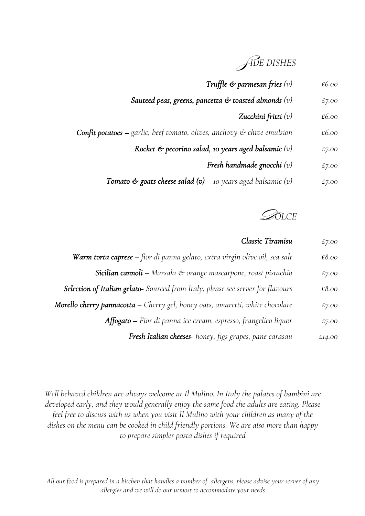

| £6.00 | Truffle $\phi$ parmesan fries $(v)$                                            |
|-------|--------------------------------------------------------------------------------|
| £7.00 | Sauteed peas, greens, pancetta $\phi$ toasted almonds (v)                      |
| £6.00 | Zucchini fritti $(v)$                                                          |
| £6.00 | <b>Confit potatoes –</b> garlic, beef tomato, olives, anchovy & chive emulsion |
| £7.00 | Rocket & pecorino salad, 10 years aged balsamic (v)                            |
| £7.00 | Fresh handmade gnocchi (v)                                                     |
| £7.00 | <b>Tomato &amp; goats cheese salad (v)</b> – 10 years aged balsamic (v)        |



| Classic Tiramisu                                                                       | £7.00  |
|----------------------------------------------------------------------------------------|--------|
| Warm torta caprese - fior di panna gelato, extra virgin olive oil, sea salt            | £8.00  |
| Sicilian cannoli - Marsala & orange mascarpone, roast pistachio                        | £7.00  |
| <b>Selection of Italian gelato-</b> Sourced from Italy, please see server for flavours | £8.00  |
| <b>Morello cherry pannacotta</b> – Cherry gel, honey oats, amaretti, white chocolate   | £7.00  |
| Affogato – Fior di panna ice cream, espresso, frangelico liquor                        | £7.00  |
| Fresh Italian cheeses- honey, figs grapes, pane carasau                                | £14.00 |

*Well behaved children are always welcome at Il Mulino. In Italy the palates of bambini are developed early, and they would generally enjoy the same food the adults are eating. Please feel free to discuss with us when you visit Il Mulino with your children as many of the dishes on the menu can be cooked in child friendly portions. We are also more than happy to prepare simpler pasta dishes if required*

*All our food is prepared in a kitchen that handles a number of allergens, please advise your server of any allergies and we will do our utmost to accommodate your needs*